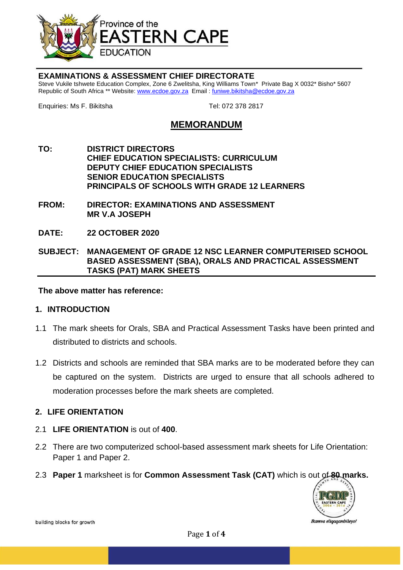

#### **EXAMINATIONS & ASSESSMENT CHIEF DIRECTORATE**

Steve Vukile tshwete Education Complex, Zone 6 Zwelitsha, King Williams Town\* Private Bag X 0032\* Bisho\* 5607 Republic of South Africa \*\* Website[: www.ecdoe.gov.za](http://www.ecdoe.gov.za/) Email : [funiwe.bikitsha@ecdoe.gov.za](mailto:funiwe.bikitsha@ecdoe.gov.za)

Enquiries: Ms F. Bikitsha Tel: 072 378 2817

# **MEMORANDUM**

- **TO: DISTRICT DIRECTORS CHIEF EDUCATION SPECIALISTS: CURRICULUM DEPUTY CHIEF EDUCATION SPECIALISTS SENIOR EDUCATION SPECIALISTS PRINCIPALS OF SCHOOLS WITH GRADE 12 LEARNERS**
- **FROM: DIRECTOR: EXAMINATIONS AND ASSESSMENT MR V.A JOSEPH**
- **DATE: 22 OCTOBER 2020**

**SUBJECT: MANAGEMENT OF GRADE 12 NSC LEARNER COMPUTERISED SCHOOL BASED ASSESSMENT (SBA), ORALS AND PRACTICAL ASSESSMENT TASKS (PAT) MARK SHEETS**

**The above matter has reference:**

#### **1. INTRODUCTION**

- 1.1 The mark sheets for Orals, SBA and Practical Assessment Tasks have been printed and distributed to districts and schools.
- 1.2 Districts and schools are reminded that SBA marks are to be moderated before they can be captured on the system. Districts are urged to ensure that all schools adhered to moderation processes before the mark sheets are completed.

#### **2. LIFE ORIENTATION**

- 2.1 **LIFE ORIENTATION** is out of **400**.
- 2.2 There are two computerized school-based assessment mark sheets for Life Orientation: Paper 1 and Paper 2.
- 2.3 **Paper 1** marksheet is for **Common Assessment Task (CAT)** which is out of **80 marks.**



building blocks for growth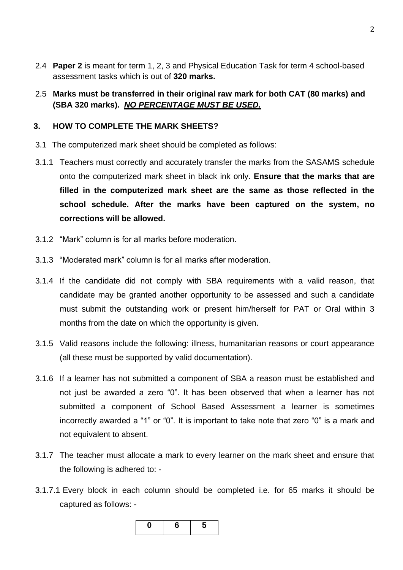- 2.4 **Paper 2** is meant for term 1, 2, 3 and Physical Education Task for term 4 school-based assessment tasks which is out of **320 marks.**
- 2.5 **Marks must be transferred in their original raw mark for both CAT (80 marks) and (SBA 320 marks).** *NO PERCENTAGE MUST BE USED.*

#### **3. HOW TO COMPLETE THE MARK SHEETS?**

- 3.1 The computerized mark sheet should be completed as follows:
- 3.1.1 Teachers must correctly and accurately transfer the marks from the SASAMS schedule onto the computerized mark sheet in black ink only. **Ensure that the marks that are filled in the computerized mark sheet are the same as those reflected in the school schedule. After the marks have been captured on the system, no corrections will be allowed.**
- 3.1.2 "Mark" column is for all marks before moderation.
- 3.1.3 "Moderated mark" column is for all marks after moderation.
- 3.1.4 If the candidate did not comply with SBA requirements with a valid reason, that candidate may be granted another opportunity to be assessed and such a candidate must submit the outstanding work or present him/herself for PAT or Oral within 3 months from the date on which the opportunity is given.
- 3.1.5 Valid reasons include the following: illness, humanitarian reasons or court appearance (all these must be supported by valid documentation).
- 3.1.6 If a learner has not submitted a component of SBA a reason must be established and not just be awarded a zero "0". It has been observed that when a learner has not submitted a component of School Based Assessment a learner is sometimes incorrectly awarded a "1" or "0". It is important to take note that zero "0" is a mark and not equivalent to absent.
- 3.1.7 The teacher must allocate a mark to every learner on the mark sheet and ensure that the following is adhered to: -
- 3.1.7.1 Every block in each column should be completed i.e. for 65 marks it should be captured as follows: -

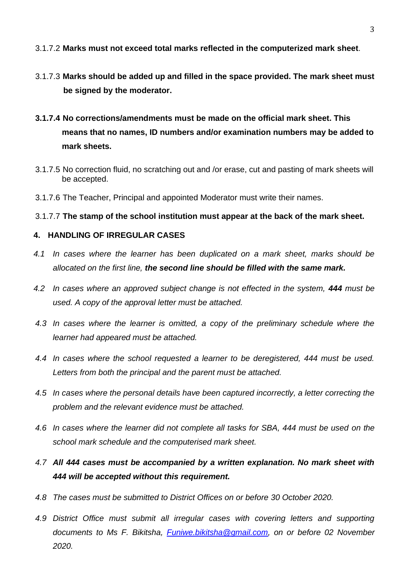### 3.1.7.2 **Marks must not exceed total marks reflected in the computerized mark sheet**.

- 3.1.7.3 **Marks should be added up and filled in the space provided. The mark sheet must be signed by the moderator.**
- **3.1.7.4 No corrections/amendments must be made on the official mark sheet. This means that no names, ID numbers and/or examination numbers may be added to mark sheets.**
- 3.1.7.5 No correction fluid, no scratching out and /or erase, cut and pasting of mark sheets will be accepted.
- 3.1.7.6 The Teacher, Principal and appointed Moderator must write their names.
- 3.1.7.7 **The stamp of the school institution must appear at the back of the mark sheet.**

#### **4. HANDLING OF IRREGULAR CASES**

- *4.1 In cases where the learner has been duplicated on a mark sheet, marks should be allocated on the first line, the second line should be filled with the same mark.*
- *4.2 In cases where an approved subject change is not effected in the system, 444 must be used. A copy of the approval letter must be attached.*
- *4.3 In cases where the learner is omitted, a copy of the preliminary schedule where the learner had appeared must be attached.*
- *4.4 In cases where the school requested a learner to be deregistered, 444 must be used. Letters from both the principal and the parent must be attached.*
- *4.5 In cases where the personal details have been captured incorrectly, a letter correcting the problem and the relevant evidence must be attached.*
- *4.6 In cases where the learner did not complete all tasks for SBA, 444 must be used on the school mark schedule and the computerised mark sheet.*
- *4.7 All 444 cases must be accompanied by a written explanation. No mark sheet with 444 will be accepted without this requirement.*
- *4.8 The cases must be submitted to District Offices on or before 30 October 2020.*
- *4.9 District Office must submit all irregular cases with covering letters and supporting documents to Ms F. Bikitsha, [Funiwe.bikitsha@gmail.com,](mailto:Funiwe.bikitsha@gmail.com) on or before 02 November 2020.*